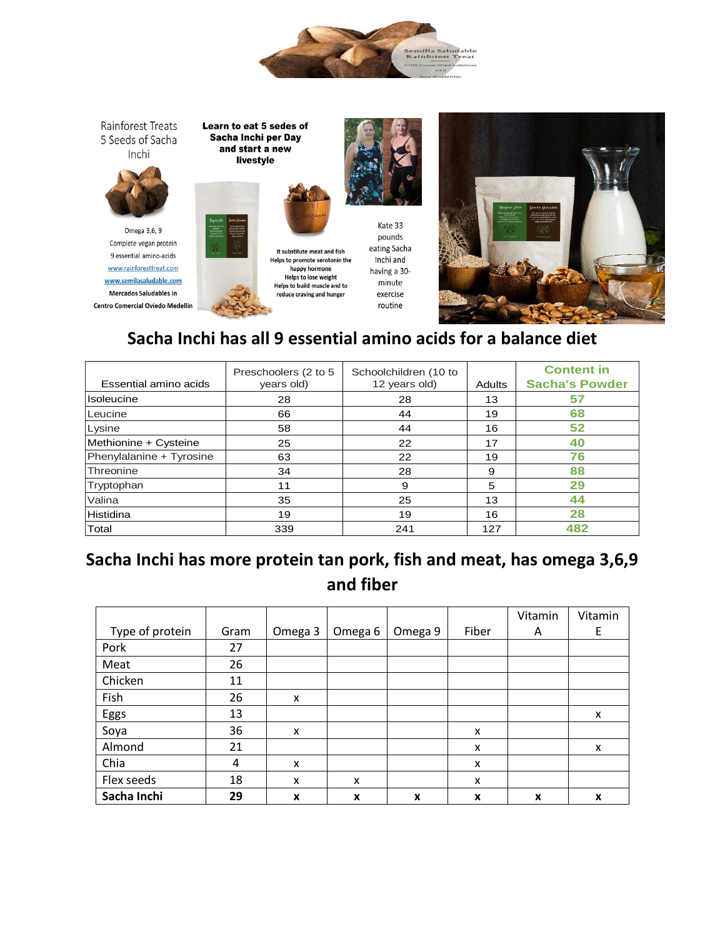

Rainforest Treats 5 Seeds of Sacha Inchi



Complete vegan protein 9 essential amino-acids www.rainforesttreat.com www.semilasaludable.com **Mercados Saludables in Centro Comercial Oviedo Medellin**  Learn to eat 5 sedes of Sacha Inchi per Day and start a new livestyle



It substitute meat and fish

happy hormone

reduce craving and hunger

pounds eating Sacha Helps to promote serotonin the Inchi and having a 30-Helps to lose weight<br>Helps to build muscle and to minute exercise routine

Kate 33



## **Sacha Inchi has all 9 essential amino acids for a balance diet**

| Essential amino acids    | Preschoolers (2 to 5<br>years old) | Schoolchildren (10 to<br>12 years old) | <b>Adults</b> | <b>Content in</b><br><b>Sacha's Powder</b> |
|--------------------------|------------------------------------|----------------------------------------|---------------|--------------------------------------------|
| Isoleucine               | 28                                 | 28                                     | 13            | 57                                         |
| Leucine                  | 66                                 | 44                                     | 19            | 68                                         |
| Lysine                   | 58                                 | 44                                     | 16            | 52                                         |
| Methionine + Cysteine    | 25                                 | 22                                     | 17            | 40                                         |
| Phenylalanine + Tyrosine | 63                                 | 22                                     | 19            | 76                                         |
| Threonine                | 34                                 | 28                                     | 9             | 88                                         |
| Tryptophan               | 11                                 | 9                                      | 5             | 29                                         |
| Valina                   | 35                                 | 25                                     | 13            | 44                                         |
| Histidina                | 19                                 | 19                                     | 16            | 28                                         |
| Total                    | 339                                | 241                                    | 127           | 482                                        |

## **Sacha Inchi has more protein tan pork, fish and meat, has omega 3,6,9 and fiber**

|                 |      |         |                    |         |       | Vitamin | Vitamin |
|-----------------|------|---------|--------------------|---------|-------|---------|---------|
| Type of protein | Gram | Omega 3 | Omega <sub>6</sub> | Omega 9 | Fiber | A       | Ε       |
| Pork            | 27   |         |                    |         |       |         |         |
| Meat            | 26   |         |                    |         |       |         |         |
| Chicken         | 11   |         |                    |         |       |         |         |
| Fish            | 26   | X       |                    |         |       |         |         |
| Eggs            | 13   |         |                    |         |       |         | x       |
| Soya            | 36   | X       |                    |         | X     |         |         |
| Almond          | 21   |         |                    |         | X     |         | X       |
| Chia            | 4    | X       |                    |         | X     |         |         |
| Flex seeds      | 18   | X       | X                  |         | X     |         |         |
| Sacha Inchi     | 29   | X       | X                  | X       | X     | X       | X       |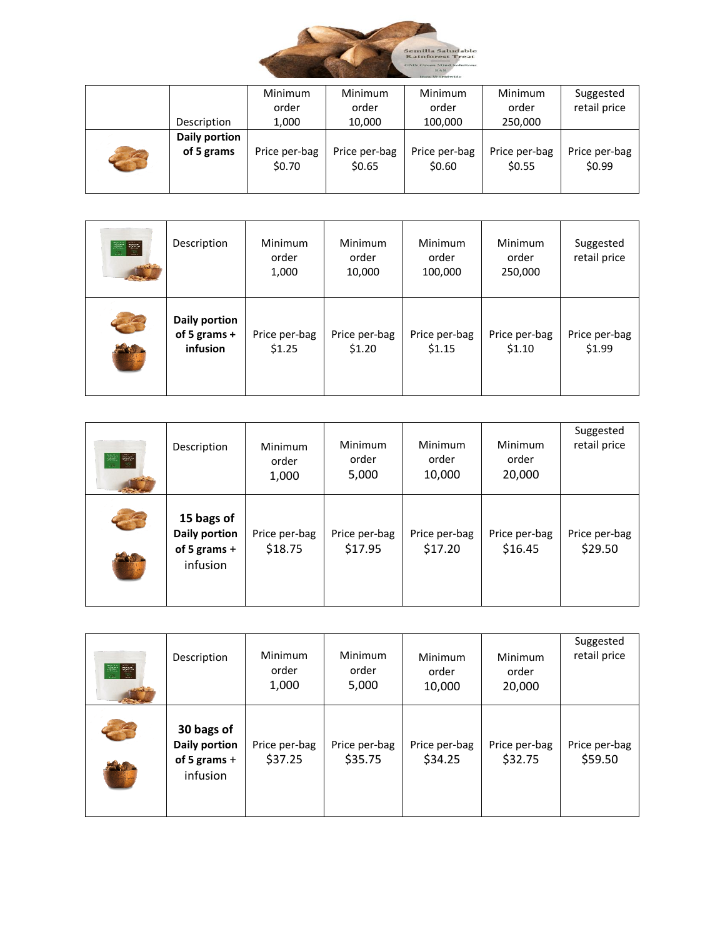

|                          |               | <b>Minimum</b>          | <b>Minimum</b>          | <b>Minimum</b>          | <b>Minimum</b>          | Suggested               |
|--------------------------|---------------|-------------------------|-------------------------|-------------------------|-------------------------|-------------------------|
|                          |               | order                   | order                   | order                   | order                   | retail price            |
|                          | Description   | 1,000                   | 10,000                  | 100,000                 | 250,000                 |                         |
|                          | Daily portion |                         |                         |                         |                         |                         |
| $\overline{\phantom{a}}$ | of 5 grams    | Price per-bag<br>\$0.70 | Price per-bag<br>\$0.65 | Price per-bag<br>\$0.60 | Price per-bag<br>\$0.55 | Price per-bag<br>\$0.99 |

| 至章<br>$\mathbb{R}$ $\mathbb{R}$ | Description                               | Minimum<br>order<br>1,000 | Minimum<br>order<br>10,000 | Minimum<br>order<br>100,000 | Minimum<br>order<br>250,000 | Suggested<br>retail price |
|---------------------------------|-------------------------------------------|---------------------------|----------------------------|-----------------------------|-----------------------------|---------------------------|
| $\bullet$                       | Daily portion<br>of 5 grams +<br>infusion | Price per-bag<br>\$1.25   | Price per-bag<br>\$1.20    | Price per-bag<br>\$1.15     | Price per-bag<br>\$1.10     | Price per-bag<br>\$1.99   |

| <b>Jail Rep</b><br>$\mathbb{R}$ $\mathbb{R}$ | Description                                                      | Minimum<br>order<br>1,000 | Minimum<br>order<br>5,000 | Minimum<br>order<br>10,000 | Minimum<br>order<br>20,000 | Suggested<br>retail price |
|----------------------------------------------|------------------------------------------------------------------|---------------------------|---------------------------|----------------------------|----------------------------|---------------------------|
|                                              | 15 bags of<br><b>Daily portion</b><br>of 5 grams $+$<br>infusion | Price per-bag<br>\$18.75  | Price per-bag<br>\$17.95  | Price per-bag<br>\$17.20   | Price per-bag<br>\$16.45   | Price per-bag<br>\$29.50  |

| 至第<br>$-29.$ | Description                                               | Minimum<br>order<br>1,000 | Minimum<br>order<br>5,000 | Minimum<br>order<br>10,000 | Minimum<br>order<br>20,000 | Suggested<br>retail price |
|--------------|-----------------------------------------------------------|---------------------------|---------------------------|----------------------------|----------------------------|---------------------------|
|              | 30 bags of<br>Daily portion<br>of 5 grams $+$<br>infusion | Price per-bag<br>\$37.25  | Price per-bag<br>\$35.75  | Price per-bag<br>\$34.25   | Price per-bag<br>\$32.75   | Price per-bag<br>\$59.50  |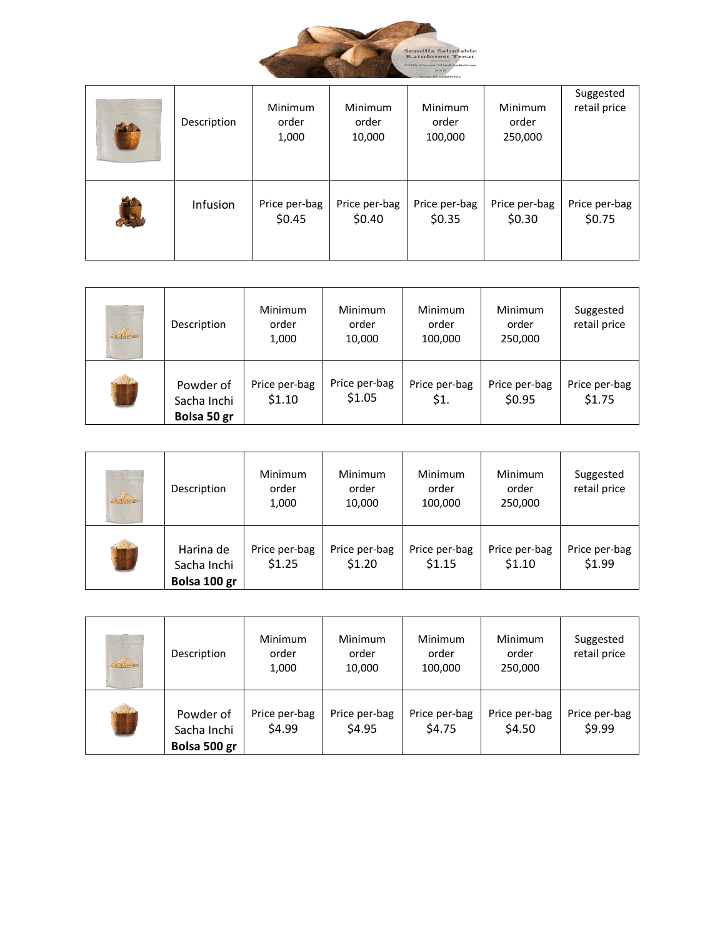

| <b>Exter</b> | Description | <b>Minimum</b><br>order<br>1,000 | <b>Minimum</b><br>order<br>10,000 | Minimum<br>order<br>100,000 | Minimum<br>order<br>250,000 | Suggested<br>retail price |
|--------------|-------------|----------------------------------|-----------------------------------|-----------------------------|-----------------------------|---------------------------|
|              | Infusion    | Price per-bag<br>\$0.45          | Price per-bag<br>\$0.40           | Price per-bag<br>\$0.35     | Price per-bag<br>\$0.30     | Price per-bag<br>\$0.75   |

| <u> d'Anador</u> | Description                             | <b>Minimum</b><br>order<br>1,000 | Minimum<br>order<br>10,000 | <b>Minimum</b><br>order<br>100,000 | Minimum<br>order<br>250,000 | Suggested<br>retail price |
|------------------|-----------------------------------------|----------------------------------|----------------------------|------------------------------------|-----------------------------|---------------------------|
|                  | Powder of<br>Sacha Inchi<br>Bolsa 50 gr | Price per-bag<br>\$1.10          | Price per-bag<br>\$1.05    | Price per-bag<br>\$1.              | Price per-bag<br>\$0.95     | Price per-bag<br>\$1.75   |

| <b>Branco</b> | Description                              | Minimum<br>order<br>1,000 | Minimum<br>order<br>10,000 | Minimum<br>order<br>100,000 | Minimum<br>order<br>250,000 | Suggested<br>retail price |
|---------------|------------------------------------------|---------------------------|----------------------------|-----------------------------|-----------------------------|---------------------------|
|               | Harina de<br>Sacha Inchi<br>Bolsa 100 gr | Price per-bag<br>\$1.25   | Price per-bag<br>\$1.20    | Price per-bag<br>\$1.15     | Price per-bag<br>\$1.10     | Price per-bag<br>\$1.99   |

| <b>Branco</b> | Description                              | Minimum<br>order<br>1,000 | Minimum<br>order<br>10,000 | <b>Minimum</b><br>order<br>100,000 | Minimum<br>order<br>250,000 | Suggested<br>retail price |
|---------------|------------------------------------------|---------------------------|----------------------------|------------------------------------|-----------------------------|---------------------------|
|               | Powder of<br>Sacha Inchi<br>Bolsa 500 gr | Price per-bag<br>\$4.99   | Price per-bag<br>\$4.95    | Price per-bag<br>\$4.75            | Price per-bag<br>\$4.50     | Price per-bag<br>\$9.99   |